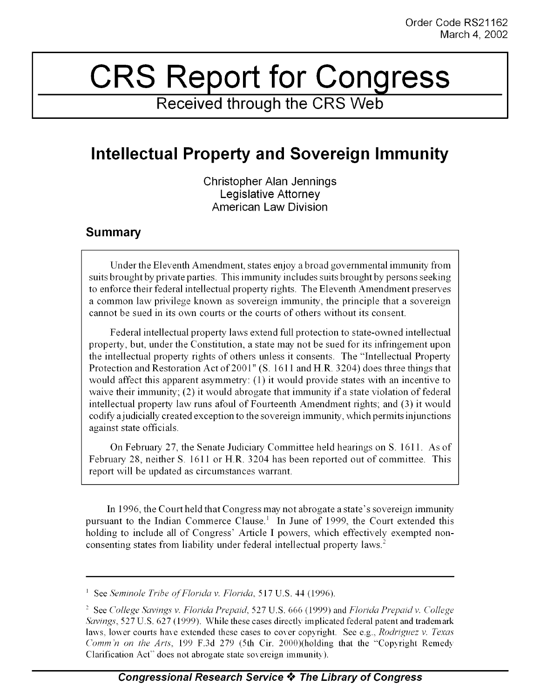## CRS Report for Congress

**Received through the CRS Web**

## **Intellectual Property and Sovereign Immunity**

Christopher Alan Jennings Legislative Attorney American Law Division

## **Summary**

Under the Eleventh Amendment, states enjoy a broad governmental immunity from suits brought by private parties. This immunity includes suits brought by persons seeking to enforce their federal intellectual property rights. The Eleventh Amendment preserves a common law privilege known as sovereign immunity, the principle that a sovereign cannot be sued in its own courts or the courts of others without its consent.

Federal intellectual property laws extend full protection to state-owned intellectual property, but, under the Constitution, a state may not be sued for its infringement upon the intellectual property rights of others unless it consents. The "Intellectual Property Protection and Restoration Act of 2001" (S. 1611 and **H.R.** 3204) does three things that would affect this apparent asymmetry: (1) it would provide states with an incentive to waive their immunity; (2) it would abrogate that immunity if a state violation of federal intellectual property law runs afoul of Fourteenth Amendment rights; and (3) it would codify ajudicially created exception to the sovereign immunity, which permits injunctions against state officials.

On February 27, the Senate Judiciary Committee held hearings on S. 1611. As of February 28, neither S. 1611 or H.R. 3204 has been reported out of committee. This report will be updated as circumstances warrant.

In 1996, the Court held that Congress may not abrogate a state's sovereign immunity pursuant to the Indian Commerce Clause.' In June of 1999, the Court extended this holding to include all of Congress' Article **I** powers, which effectively exempted nonconsenting states from liability under federal intellectual property laws.2

See *Seminole Tribe ofFlorida v. Florida,* 517 U.S. 44 (1996).

See *College Savings v. Florida Prepaid,* 527 U.S. 666 (1999) and *Florida Prepaid v. College Savings,* 527 U.S. 627 (1999). While these cases directly implicated federal patent and trademark laws, lower courts have extended these cases to cover copyright. See e.g., *Rodriguez v. Texas Comm'n on the Arts,* 199 F.3d 279 (5th Cir. 2000)(holding that the "Copyright Remedy Clarification Act" does not abrogate state sovereign immunity).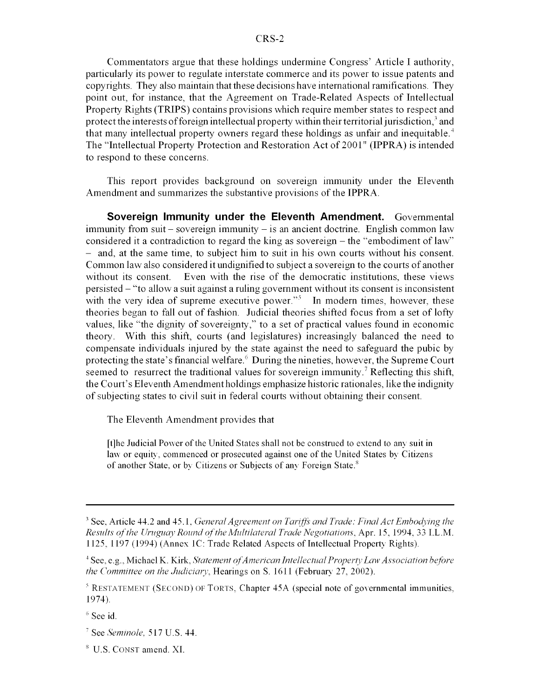Commentators argue that these holdings undermine Congress' Article I authority, particularly its power to regulate interstate commerce and its power to issue patents and copyrights. They also maintain that these decisions have international ramifications. They point out, for instance, that the Agreement on Trade-Related Aspects of Intellectual Property Rights (TRIPS) contains provisions which require member states to respect and protect the interests of foreign intellectual property within their territorial jurisdiction,<sup>3</sup> and that many intellectual property owners regard these holdings as unfair and inequitable. <sup>4</sup> The "Intellectual Property Protection and Restoration Act of 2001" (IPPRA) is intended to respond to these concerns.

This report provides background on sovereign immunity under the Eleventh Amendment and summarizes the substantive provisions of the IPPRA.

**Sovereign Immunity under the Eleventh Amendment.** Governmental immunity from suit – sovereign immunity – is an ancient doctrine. English common law considered it a contradiction to regard the king as sovereign - the "embodiment of law" - and, at the same time, to subject him to suit in his own courts without his consent. Common law also considered it undignified to subject a sovereign to the courts of another without its consent. Even with the rise of the democratic institutions, these views persisted - "to allow a suit against a ruling government without its consent is inconsistent with the very idea of supreme executive power."<sup>5</sup> In modern times, however, these theories began to fall out of fashion. Judicial theories shifted focus from a set of lofty values, like "the dignity of sovereignty," to a set of practical values found in economic theory. With this shift, courts (and legislatures) increasingly balanced the need to compensate individuals injured by the state against the need to safeguard the pubic by protecting the state's financial welfare.6 During the nineties, however, the Supreme Court seemed to resurrect the traditional values for sovereign immunity.<sup>7</sup> Reflecting this shift, the Court's Eleventh Amendment holdings emphasize historic rationales, like the indignity of subjecting states to civil suit in federal courts without obtaining their consent.

The Eleventh Amendment provides that

[t]he Judicial Power of the United States shall not be construed to extend to any suit in law or equity, commenced or prosecuted against one of the United States by Citizens of another State, or by Citizens or Subjects of any Foreign State.<sup>8</sup>

 $<sup>6</sup>$  See id.</sup>

<sup>&</sup>lt;sup>3</sup> See, Article 44.2 and 45.1, *General Agreement on Tariffs and Trade: Final Act Embodying the Results of the Uruguay Round of the Mltilateral Trade Negotiations,* Apr. 15, 1994, 33 I.L.M. 1125, 1197 (1994) (Annex IC: Trade Related Aspects of Intellectual Property Rights).

<sup>4</sup> See, e.g., Michael K. Kirk, *Statement ofAmerican Intellectual Property Law Association before the Committee on the Judiciary,* Hearings on S. 1611 (February 27, 2002).

 $<sup>5</sup>$  RESTATEMENT (SECOND) OF TORTS, Chapter 45A (special note of governmental immunities,</sup> 1974).

See *Seminole,* 517 U.S. 44.

<sup>&</sup>lt;sup>8</sup> U.S. CONST amend. XI.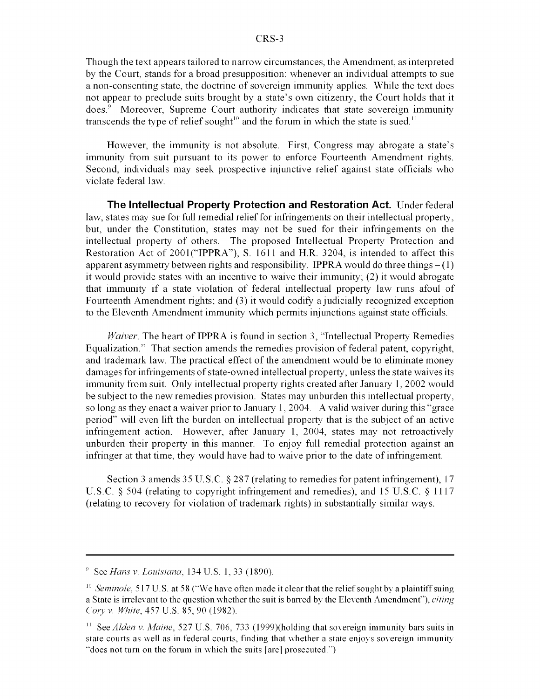Though the text appears tailored to narrow circumstances, the Amendment, as interpreted by the Court, stands for a broad presupposition: whenever an individual attempts to sue a non-consenting state, the doctrine of sovereign immunity applies. While the text does not appear to preclude suits brought by a state's own citizenry, the Court holds that it does.' Moreover, Supreme Court authority indicates that state sovereign immunity transcends the type of relief sought<sup>10</sup> and the forum in which the state is sued.<sup>11</sup>

However, the immunity is not absolute. First, Congress may abrogate a state's immunity from suit pursuant to its power to enforce Fourteenth Amendment rights. Second, individuals may seek prospective injunctive relief against state officials who violate federal law.

**The Intellectual Property Protection and Restoration Act.** Under federal law, states may sue for full remedial relief for infringements on their intellectual property, but, under the Constitution, states may not be sued for their infringements on the intellectual property of others. The proposed Intellectual Property Protection and Restoration Act of 2001("IPPRA"), S. 1611 and H.R. 3204, is intended to affect this apparent asymmetry between rights and responsibility. IPPRA would do three things  $-(1)$ it would provide states with an incentive to waive their immunity; (2) it would abrogate that immunity if a state violation of federal intellectual property law runs afoul of Fourteenth Amendment rights; and (3) it would codify a judicially recognized exception to the Eleventh Amendment immunity which permits injunctions against state officials.

*Waiver.* The heart of IPPRA is found in section 3, "Intellectual Property Remedies Equalization." That section amends the remedies provision of federal patent, copyright, and trademark law. The practical effect of the amendment would be to eliminate money damages for infringements of state-owned intellectual property, unless the state waives its immunity from suit. Only intellectual property rights created after January 1, 2002 would be subject to the new remedies provision. States may unburden this intellectual property, so long as they enact a waiver prior to January 1, 2004. A valid waiver during this "grace period" will even lift the burden on intellectual property that is the subject of an active infringement action. However, after January 1, 2004, states may not retroactively unburden their property in this manner. To enjoy full remedial protection against an infringer at that time, they would have had to waive prior to the date of infringement.

Section 3 amends 35 U.S.C. § 287 (relating to remedies for patent infringement), 17 U.S.C. § 504 (relating to copyright infringement and remedies), and 15 U.S.C. § 1117 (relating to recovery for violation of trademark rights) in substantially similar ways.

<sup>&</sup>quot; *See Hans v. Louisiana,* 134 U.S. 1, 33 (1890).

<sup>&</sup>lt;sup>10</sup> Seminole, 517 U.S. at 58 ("We have often made it clear that the relief sought by a plaintiff suing a State is irrelevant to the question whether the suit is barred by the Eleventh Amendment"), *citing Cory v. White,* 457 U.S. 85, 90 (1982).

<sup>&</sup>lt;sup>11</sup> See *Alden v. Maine,* 527 U.S. 706, 733 (1999)(holding that sovereign immunity bars suits in state courts as well as in federal courts, finding that whether a state enjoys sovereign immunity "does not turn on the forum in which the suits [are] prosecuted.")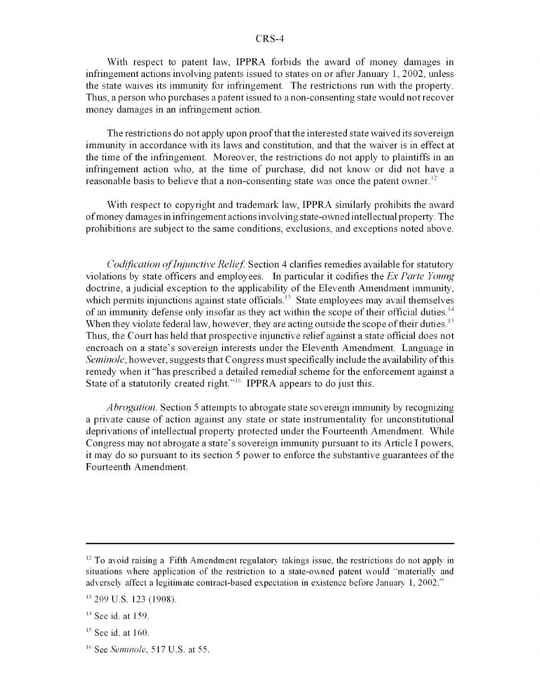## CRS-4

With respect to patent law, IPPRA forbids the award of money damages in infringement actions involving patents issued to states on or after January 1, 2002, unless the state waives its immunity for infringement. The restrictions run with the property. Thus, a person who purchases a patent issued to a non-consenting state would not recover money damages in an infringement action.

The restrictions do not apply upon proof that the interested state waived its sovereign immunity in accordance with its laws and constitution, and that the waiver is in effect at the time of the infringement. Moreover, the restrictions do not apply to plaintiffs in an infringement action who, at the time of purchase, did not know or did not have a reasonable basis to believe that a non-consenting state was once the patent owner.<sup>12</sup>

With respect to copyright and trademark law, IPPRA similarly prohibits the award of money damages in infringement actions involving state-owned intellectual property. The prohibitions are subject to the same conditions, exclusions, and exceptions noted above.

*Codification oflnjunctive Relief.* Section 4 clarifies remedies available for statutory violations by state officers and employees. In particular it codifies the *Ex Parte Young* doctrine, a judicial exception to the applicability of the Eleventh Amendment immunity, which permits injunctions against state officials.<sup>13</sup> State employees may avail themselves of an immunity defense only insofar as they act within the scope of their official duties.<sup>14</sup> When they violate federal law, however, they are acting outside the scope of their duties.<sup>15</sup> Thus, the Court has held that prospective injunctive relief against a state official does not encroach on a state's sovereign interests under the Eleventh Amendment. Language in *Seminole, however, suggests that Congress must specifically include the availability of this* remedy when it "has prescribed a detailed remedial scheme for the enforcement against a State of a statutorily created right."<sup>16</sup> IPPRA appears to do just this.

*Abrogation.* Section 5 attempts to abrogate state sovereign immunity by recognizing a private cause of action against any state or state instrumentality for unconstitutional deprivations of intellectual property protected under the Fourteenth Amendment. While Congress may not abrogate a state's sovereign immunity pursuant to its Article **I** powers, it may do so pursuant to its section 5 power to enforce the substantive guarantees of the Fourteenth Amendment.

 $<sup>12</sup>$  To avoid raising a Fifth Amendment regulatory takings issue, the restrictions do not apply in</sup> situations where application of the restriction to a state-owned patent would "materially and adversely affect a legitimate contract-based expectation in existence before January 1, 2002."

<sup>&</sup>lt;sup>13</sup> 209 U.S. 123 (1908).

 $14$  See id. at 159.

 $<sup>15</sup>$  See id. at 160.</sup>

<sup>16</sup> See *Seminole.* 517 U.S. at **55.**